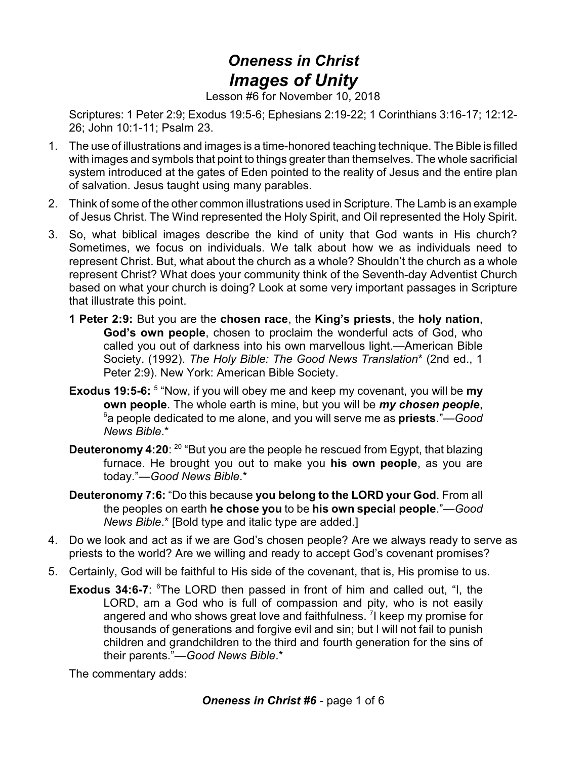## *Oneness in Christ Images of Unity*

Lesson #6 for November 10, 2018

Scriptures: 1 Peter 2:9; Exodus 19:5-6; Ephesians 2:19-22; 1 Corinthians 3:16-17; 12:12- 26; John 10:1-11; Psalm 23.

- 1. The use of illustrations and images is a time-honored teaching technique. The Bible is filled with images and symbols that point to things greater than themselves. The whole sacrificial system introduced at the gates of Eden pointed to the reality of Jesus and the entire plan of salvation. Jesus taught using many parables.
- 2. Think of some of the other common illustrations used in Scripture. The Lamb is an example of Jesus Christ. The Wind represented the Holy Spirit, and Oil represented the Holy Spirit.
- 3. So, what biblical images describe the kind of unity that God wants in His church? Sometimes, we focus on individuals. We talk about how we as individuals need to represent Christ. But, what about the church as a whole? Shouldn't the church as a whole represent Christ? What does your community think of the Seventh-day Adventist Church based on what your church is doing? Look at some very important passages in Scripture that illustrate this point.
	- **1 Peter 2:9:** But you are the **chosen race**, the **King's priests**, the **holy nation**, **God's own people**, chosen to proclaim the wonderful acts of God, who called you out of darkness into his own marvellous light.—American Bible Society. (1992). *The Holy Bible: The Good News Translation*\* (2nd ed., 1 Peter 2:9). New York: American Bible Society.
	- **Exodus 19:5-6:** <sup>5</sup> "Now, if you will obey me and keep my covenant, you will be my **own people**. The whole earth is mine, but you will be *my chosen people*, 6 a people dedicated to me alone, and you will serve me as **priests**."—*Good News Bible*.\*
	- **Deuteronomy 4:20**: <sup>20</sup> "But you are the people he rescued from Egypt, that blazing furnace. He brought you out to make you **his own people**, as you are today."—*Good News Bible*.\*
	- **Deuteronomy 7:6:** "Do this because **you belong to the LORD your God**. From all the peoples on earth **he chose you** to be **his own special people**."—*Good News Bible*.\* [Bold type and italic type are added.]
- 4. Do we look and act as if we are God's chosen people? Are we always ready to serve as priests to the world? Are we willing and ready to accept God's covenant promises?
- 5. Certainly, God will be faithful to His side of the covenant, that is, His promise to us.
	- **Exodus 34:6-7:** <sup>6</sup>The LORD then passed in front of him and called out, "I, the LORD, am a God who is full of compassion and pity, who is not easily angered and who shows great love and faithfulness. <sup>7</sup>I keep my promise for thousands of generations and forgive evil and sin; but I will not fail to punish children and grandchildren to the third and fourth generation for the sins of their parents."—*Good News Bible*.\*

The commentary adds: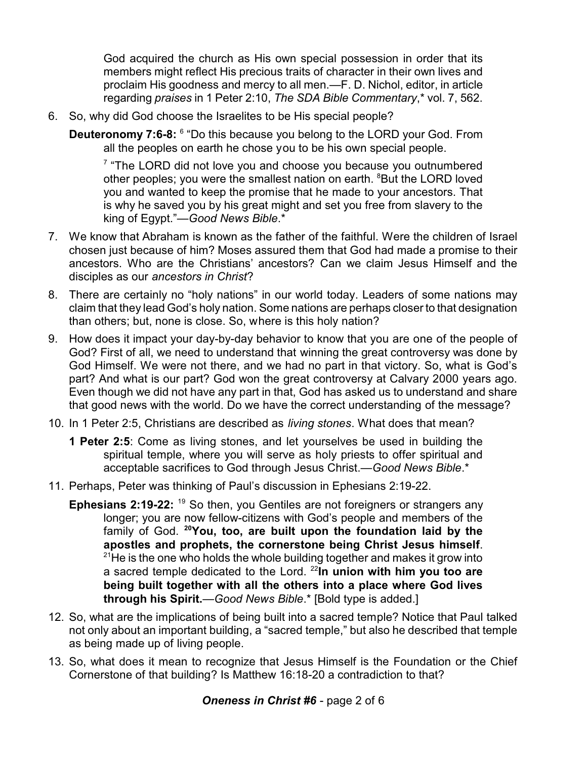God acquired the church as His own special possession in order that its members might reflect His precious traits of character in their own lives and proclaim His goodness and mercy to all men.—F. D. Nichol, editor, in article regarding *praises* in 1 Peter 2:10, *The SDA Bible Commentary*,\* vol. 7, 562.

- 6. So, why did God choose the Israelites to be His special people?
	- **Deuteronomy 7:6-8:** <sup>6</sup> "Do this because you belong to the LORD your God. From all the peoples on earth he chose you to be his own special people.

 $7$  "The LORD did not love you and choose you because you outnumbered other peoples; you were the smallest nation on earth. <sup>8</sup>But the LORD loved you and wanted to keep the promise that he made to your ancestors. That is why he saved you by his great might and set you free from slavery to the king of Egypt."—*Good News Bible*.\*

- 7. We know that Abraham is known as the father of the faithful. Were the children of Israel chosen just because of him? Moses assured them that God had made a promise to their ancestors. Who are the Christians' ancestors? Can we claim Jesus Himself and the disciples as our *ancestors in Christ*?
- 8. There are certainly no "holy nations" in our world today. Leaders of some nations may claim that they lead God's holy nation. Some nations are perhaps closer to that designation than others; but, none is close. So, where is this holy nation?
- 9. How does it impact your day-by-day behavior to know that you are one of the people of God? First of all, we need to understand that winning the great controversy was done by God Himself. We were not there, and we had no part in that victory. So, what is God's part? And what is our part? God won the great controversy at Calvary 2000 years ago. Even though we did not have any part in that, God has asked us to understand and share that good news with the world. Do we have the correct understanding of the message?
- 10. In 1 Peter 2:5, Christians are described as *living stones*. What does that mean?
	- **1 Peter 2:5**: Come as living stones, and let yourselves be used in building the spiritual temple, where you will serve as holy priests to offer spiritual and acceptable sacrifices to God through Jesus Christ.—*Good News Bible*.\*
- 11. Perhaps, Peter was thinking of Paul's discussion in Ephesians 2:19-22.
	- **Ephesians 2:19-22:** <sup>19</sup> So then, you Gentiles are not foreigners or strangers any longer; you are now fellow-citizens with God's people and members of the family of God. **<sup>20</sup>You, too, are built upon the foundation laid by the apostles and prophets, the cornerstone being Christ Jesus himself**.  $21$ He is the one who holds the whole building together and makes it grow into a sacred temple dedicated to the Lord. <sup>22</sup>**In union with him you too are being built together with all the others into a place where God lives through his Spirit.**—*Good News Bible*.\* [Bold type is added.]
- 12. So, what are the implications of being built into a sacred temple? Notice that Paul talked not only about an important building, a "sacred temple," but also he described that temple as being made up of living people.
- 13. So, what does it mean to recognize that Jesus Himself is the Foundation or the Chief Cornerstone of that building? Is Matthew 16:18-20 a contradiction to that?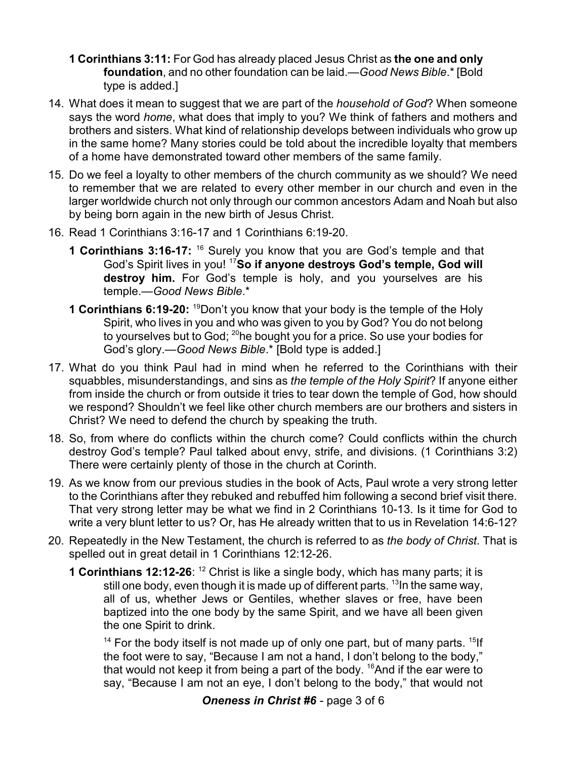- **1 Corinthians 3:11:** For God has already placed Jesus Christ as **the one and only foundation**, and no other foundation can be laid.—*Good News Bible*.\* [Bold type is added.]
- 14. What does it mean to suggest that we are part of the *household of God*? When someone says the word *home*, what does that imply to you? We think of fathers and mothers and brothers and sisters. What kind of relationship develops between individuals who grow up in the same home? Many stories could be told about the incredible loyalty that members of a home have demonstrated toward other members of the same family.
- 15. Do we feel a loyalty to other members of the church community as we should? We need to remember that we are related to every other member in our church and even in the larger worldwide church not only through our common ancestors Adam and Noah but also by being born again in the new birth of Jesus Christ.
- 16. Read 1 Corinthians 3:16-17 and 1 Corinthians 6:19-20.
	- **1 Corinthians 3:16-17:** <sup>16</sup> Surely you know that you are God's temple and that God's Spirit lives in you! <sup>17</sup>**So if anyone destroys God's temple, God will destroy him.** For God's temple is holy, and you yourselves are his temple.—*Good News Bible*.\*
	- **1 Corinthians 6:19-20:** <sup>19</sup>Don't you know that your body is the temple of the Holy Spirit, who lives in you and who was given to you by God? You do not belong to yourselves but to God; <sup>20</sup>he bought you for a price. So use your bodies for God's glory.—*Good News Bible*.\* [Bold type is added.]
- 17. What do you think Paul had in mind when he referred to the Corinthians with their squabbles, misunderstandings, and sins as *the temple of the Holy Spirit*? If anyone either from inside the church or from outside it tries to tear down the temple of God, how should we respond? Shouldn't we feel like other church members are our brothers and sisters in Christ? We need to defend the church by speaking the truth.
- 18. So, from where do conflicts within the church come? Could conflicts within the church destroy God's temple? Paul talked about envy, strife, and divisions. (1 Corinthians 3:2) There were certainly plenty of those in the church at Corinth.
- 19. As we know from our previous studies in the book of Acts, Paul wrote a very strong letter to the Corinthians after they rebuked and rebuffed him following a second brief visit there. That very strong letter may be what we find in 2 Corinthians 10-13. Is it time for God to write a very blunt letter to us? Or, has He already written that to us in Revelation 14:6-12?
- 20. Repeatedly in the New Testament, the church is referred to as *the body of Christ*. That is spelled out in great detail in 1 Corinthians 12:12-26.
	- **1 Corinthians 12:12-26:** <sup>12</sup> Christ is like a single body, which has many parts; it is still one body, even though it is made up of different parts. <sup>13</sup>In the same way, all of us, whether Jews or Gentiles, whether slaves or free, have been baptized into the one body by the same Spirit, and we have all been given the one Spirit to drink.

 $14$  For the body itself is not made up of only one part, but of many parts.  $15$ lf the foot were to say, "Because I am not a hand, I don't belong to the body," that would not keep it from being a part of the body. <sup>16</sup>And if the ear were to say, "Because I am not an eye, I don't belong to the body," that would not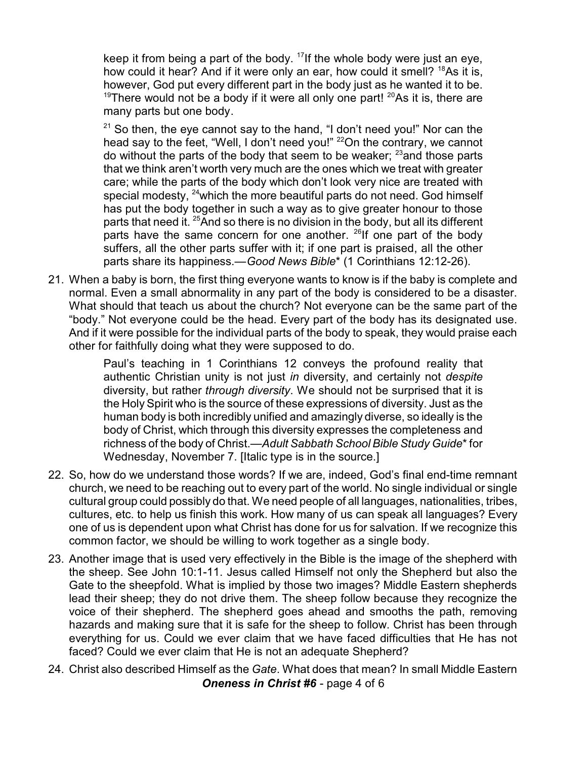keep it from being a part of the body. <sup>17</sup>If the whole body were just an eye, how could it hear? And if it were only an ear, how could it smell? <sup>18</sup>As it is, however, God put every different part in the body just as he wanted it to be.  $19$ There would not be a body if it were all only one part!  $20$ As it is, there are many parts but one body.

<sup>21</sup> So then, the eye cannot say to the hand, "I don't need you!" Nor can the head say to the feet, "Well, I don't need you!" <sup>22</sup>On the contrary, we cannot do without the parts of the body that seem to be weaker; <sup>23</sup>and those parts that we think aren't worth very much are the ones which we treat with greater care; while the parts of the body which don't look very nice are treated with special modesty,  $^{24}$ which the more beautiful parts do not need. God himself has put the body together in such a way as to give greater honour to those parts that need it.  $25$ And so there is no division in the body, but all its different parts have the same concern for one another. <sup>26</sup>lf one part of the body suffers, all the other parts suffer with it; if one part is praised, all the other parts share its happiness.—*Good News Bible*\* (1 Corinthians 12:12-26).

21. When a baby is born, the first thing everyone wants to know is if the baby is complete and normal. Even a small abnormality in any part of the body is considered to be a disaster. What should that teach us about the church? Not everyone can be the same part of the "body." Not everyone could be the head. Every part of the body has its designated use. And if it were possible for the individual parts of the body to speak, they would praise each other for faithfully doing what they were supposed to do.

> Paul's teaching in 1 Corinthians 12 conveys the profound reality that authentic Christian unity is not just *in* diversity, and certainly not *despite* diversity, but rather *through diversity*. We should not be surprised that it is the Holy Spirit who is the source of these expressions of diversity. Just as the human body is both incredibly unified and amazingly diverse, so ideally is the body of Christ, which through this diversity expresses the completeness and richness of the body of Christ.—*Adult Sabbath School Bible Study Guide*\* for Wednesday, November 7. [Italic type is in the source.]

- 22. So, how do we understand those words? If we are, indeed, God's final end-time remnant church, we need to be reaching out to every part of the world. No single individual or single cultural group could possibly do that. We need people of all languages, nationalities, tribes, cultures, etc. to help us finish this work. How many of us can speak all languages? Every one of us is dependent upon what Christ has done for us for salvation. If we recognize this common factor, we should be willing to work together as a single body.
- 23. Another image that is used very effectively in the Bible is the image of the shepherd with the sheep. See John 10:1-11. Jesus called Himself not only the Shepherd but also the Gate to the sheepfold. What is implied by those two images? Middle Eastern shepherds lead their sheep; they do not drive them. The sheep follow because they recognize the voice of their shepherd. The shepherd goes ahead and smooths the path, removing hazards and making sure that it is safe for the sheep to follow. Christ has been through everything for us. Could we ever claim that we have faced difficulties that He has not faced? Could we ever claim that He is not an adequate Shepherd?
- 24. Christ also described Himself as the *Gate*. What does that mean? In small Middle Eastern *Oneness in Christ #6* - page 4 of 6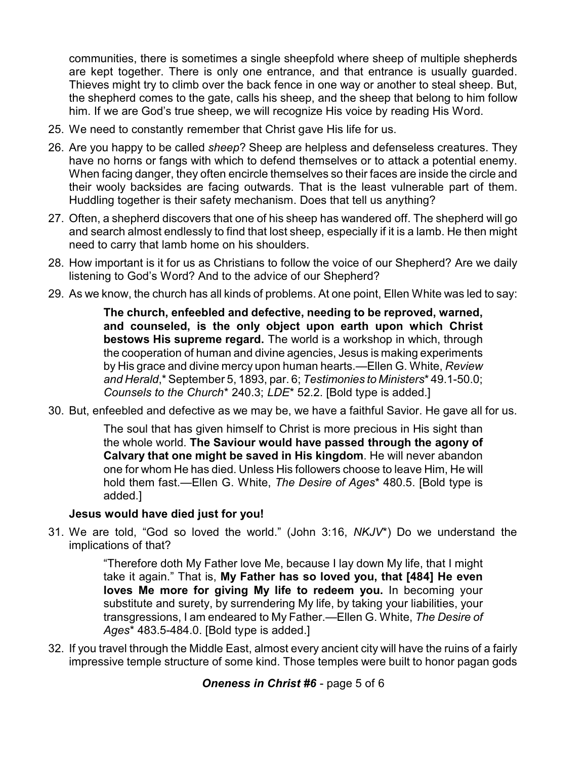communities, there is sometimes a single sheepfold where sheep of multiple shepherds are kept together. There is only one entrance, and that entrance is usually guarded. Thieves might try to climb over the back fence in one way or another to steal sheep. But, the shepherd comes to the gate, calls his sheep, and the sheep that belong to him follow him. If we are God's true sheep, we will recognize His voice by reading His Word.

- 25. We need to constantly remember that Christ gave His life for us.
- 26. Are you happy to be called *sheep*? Sheep are helpless and defenseless creatures. They have no horns or fangs with which to defend themselves or to attack a potential enemy. When facing danger, they often encircle themselves so their faces are inside the circle and their wooly backsides are facing outwards. That is the least vulnerable part of them. Huddling together is their safety mechanism. Does that tell us anything?
- 27. Often, a shepherd discovers that one of his sheep has wandered off. The shepherd will go and search almost endlessly to find that lost sheep, especially if it is a lamb. He then might need to carry that lamb home on his shoulders.
- 28. How important is it for us as Christians to follow the voice of our Shepherd? Are we daily listening to God's Word? And to the advice of our Shepherd?
- 29. As we know, the church has all kinds of problems. At one point, Ellen White was led to say:

**The church, enfeebled and defective, needing to be reproved, warned, and counseled, is the only object upon earth upon which Christ bestows His supreme regard.** The world is a workshop in which, through the cooperation of human and divine agencies, Jesus is making experiments by His grace and divine mercy upon human hearts.—Ellen G. White, *Review and Herald*,\* September 5, 1893, par. 6; *Testimonies to Ministers*\* 49.1-50.0; *Counsels to the Church*\* 240.3; *LDE*\* 52.2. [Bold type is added.]

30. But, enfeebled and defective as we may be, we have a faithful Savior. He gave all for us.

The soul that has given himself to Christ is more precious in His sight than the whole world. **The Saviour would have passed through the agony of Calvary that one might be saved in His kingdom**. He will never abandon one for whom He has died. Unless His followers choose to leave Him, He will hold them fast.—Ellen G. White, *The Desire of Ages*\* 480.5. [Bold type is added.]

## **Jesus would have died just for you!**

31. We are told, "God so loved the world." (John 3:16, *NKJV*\*) Do we understand the implications of that?

> "Therefore doth My Father love Me, because I lay down My life, that I might take it again." That is, **My Father has so loved you, that [484] He even loves Me more for giving My life to redeem you.** In becoming your substitute and surety, by surrendering My life, by taking your liabilities, your transgressions, I am endeared to My Father.—Ellen G. White, *The Desire of Ages*\* 483.5-484.0. [Bold type is added.]

32. If you travel through the Middle East, almost every ancient city will have the ruins of a fairly impressive temple structure of some kind. Those temples were built to honor pagan gods